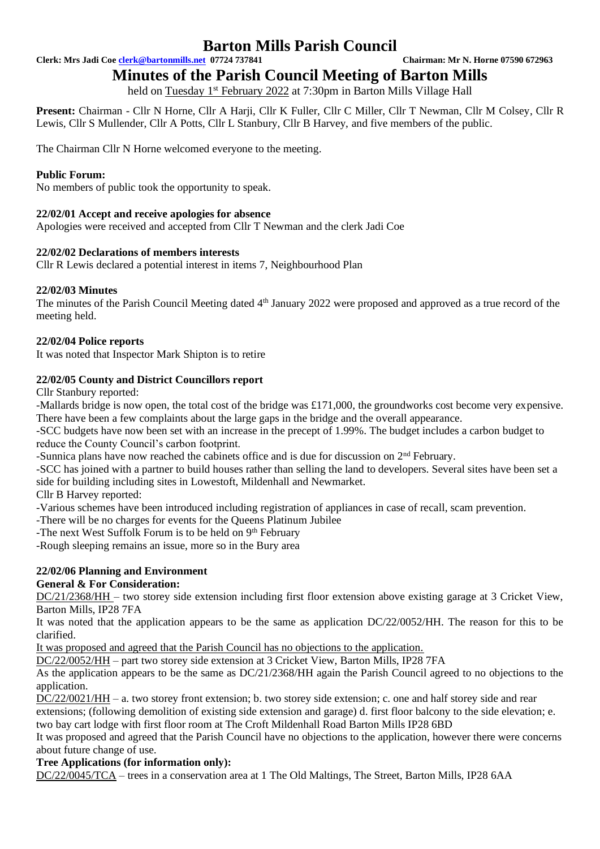**Clerk: Mrs Jadi Coe [clerk@bartonmills.net](mailto:clerk@bartonmills.net) 07724 737841 Chairman: Mr N. Horne 07590 672963**

**Minutes of the Parish Council Meeting of Barton Mills** 

held on Tuesday 1<sup>st</sup> February 2022 at 7:30pm in Barton Mills Village Hall

**Present:** Chairman - Cllr N Horne, Cllr A Harji, Cllr K Fuller, Cllr C Miller, Cllr T Newman, Cllr M Colsey, Cllr R Lewis, Cllr S Mullender, Cllr A Potts, Cllr L Stanbury, Cllr B Harvey, and five members of the public.

The Chairman Cllr N Horne welcomed everyone to the meeting.

## **Public Forum:**

No members of public took the opportunity to speak.

## **22/02/01 Accept and receive apologies for absence**

Apologies were received and accepted from Cllr T Newman and the clerk Jadi Coe

#### **22/02/02 Declarations of members interests**

Cllr R Lewis declared a potential interest in items 7, Neighbourhood Plan

#### **22/02/03 Minutes**

The minutes of the Parish Council Meeting dated 4<sup>th</sup> January 2022 were proposed and approved as a true record of the meeting held.

#### **22/02/04 Police reports**

It was noted that Inspector Mark Shipton is to retire

## **22/02/05 County and District Councillors report**

Cllr Stanbury reported:

-Mallards bridge is now open, the total cost of the bridge was £171,000, the groundworks cost become very expensive. There have been a few complaints about the large gaps in the bridge and the overall appearance.

-SCC budgets have now been set with an increase in the precept of 1.99%. The budget includes a carbon budget to reduce the County Council's carbon footprint.

-Sunnica plans have now reached the cabinets office and is due for discussion on 2nd February.

-SCC has joined with a partner to build houses rather than selling the land to developers. Several sites have been set a side for building including sites in Lowestoft, Mildenhall and Newmarket.

Cllr B Harvey reported:

-Various schemes have been introduced including registration of appliances in case of recall, scam prevention.

-There will be no charges for events for the Queens Platinum Jubilee

-The next West Suffolk Forum is to be held on 9<sup>th</sup> February

-Rough sleeping remains an issue, more so in the Bury area

# **22/02/06 Planning and Environment**

#### **General & For Consideration:**

DC/21/2368/HH – two storey side extension including first floor extension above existing garage at 3 Cricket View, Barton Mills, IP28 7FA

It was noted that the application appears to be the same as application DC/22/0052/HH. The reason for this to be clarified.

It was proposed and agreed that the Parish Council has no objections to the application.

DC/22/0052/HH – part two storey side extension at 3 Cricket View, Barton Mills, IP28 7FA

As the application appears to be the same as DC/21/2368/HH again the Parish Council agreed to no objections to the application.

DC/22/0021/HH – a. two storey front extension; b. two storey side extension; c. one and half storey side and rear extensions; (following demolition of existing side extension and garage) d. first floor balcony to the side elevation; e.

two bay cart lodge with first floor room at The Croft Mildenhall Road Barton Mills IP28 6BD

It was proposed and agreed that the Parish Council have no objections to the application, however there were concerns about future change of use.

#### **Tree Applications (for information only):**

DC/22/0045/TCA – trees in a conservation area at 1 The Old Maltings, The Street, Barton Mills, IP28 6AA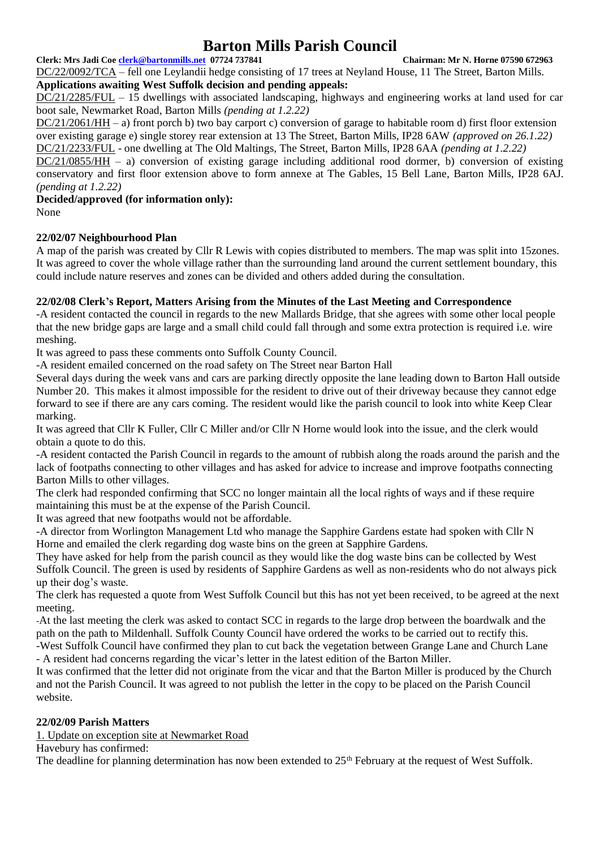#### **Clerk: Mrs Jadi Coe [clerk@bartonmills.net](mailto:clerk@bartonmills.net) 07724 737841 Chairman: Mr N. Horne 07590 672963**

DC/22/0092/TCA – fell one Leylandii hedge consisting of 17 trees at Neyland House, 11 The Street, Barton Mills. **Applications awaiting West Suffolk decision and pending appeals:**

DC/21/2285/FUL – 15 dwellings with associated landscaping, highways and engineering works at land used for car boot sale, Newmarket Road, Barton Mills *(pending at 1.2.22)*

DC/21/2061/HH – a) front porch b) two bay carport c) conversion of garage to habitable room d) first floor extension over existing garage e) single storey rear extension at 13 The Street, Barton Mills, IP28 6AW *(approved on 26.1.22)* DC/21/2233/FUL - one dwelling at The Old Maltings, The Street, Barton Mills, IP28 6AA *(pending at 1.2.22)*

 $DC/21/0855/HH - a$ ) conversion of existing garage including additional rood dormer, b) conversion of existing conservatory and first floor extension above to form annexe at The Gables, 15 Bell Lane, Barton Mills, IP28 6AJ. *(pending at 1.2.22)*

#### **Decided/approved (for information only):** None

## **22/02/07 Neighbourhood Plan**

A map of the parish was created by Cllr R Lewis with copies distributed to members. The map was split into 15zones. It was agreed to cover the whole village rather than the surrounding land around the current settlement boundary, this could include nature reserves and zones can be divided and others added during the consultation.

## **22/02/08 Clerk's Report, Matters Arising from the Minutes of the Last Meeting and Correspondence**

-A resident contacted the council in regards to the new Mallards Bridge, that she agrees with some other local people that the new bridge gaps are large and a small child could fall through and some extra protection is required i.e. wire meshing.

It was agreed to pass these comments onto Suffolk County Council.

-A resident emailed concerned on the road safety on The Street near Barton Hall

Several days during the week vans and cars are parking directly opposite the lane leading down to Barton Hall outside Number 20. This makes it almost impossible for the resident to drive out of their driveway because they cannot edge forward to see if there are any cars coming. The resident would like the parish council to look into white Keep Clear marking.

It was agreed that Cllr K Fuller, Cllr C Miller and/or Cllr N Horne would look into the issue, and the clerk would obtain a quote to do this.

-A resident contacted the Parish Council in regards to the amount of rubbish along the roads around the parish and the lack of footpaths connecting to other villages and has asked for advice to increase and improve footpaths connecting Barton Mills to other villages.

The clerk had responded confirming that SCC no longer maintain all the local rights of ways and if these require maintaining this must be at the expense of the Parish Council.

It was agreed that new footpaths would not be affordable.

-A director from Worlington Management Ltd who manage the Sapphire Gardens estate had spoken with Cllr N Horne and emailed the clerk regarding dog waste bins on the green at Sapphire Gardens.

They have asked for help from the parish council as they would like the dog waste bins can be collected by West Suffolk Council. The green is used by residents of Sapphire Gardens as well as non-residents who do not always pick up their dog's waste.

The clerk has requested a quote from West Suffolk Council but this has not yet been received, to be agreed at the next meeting.

-At the last meeting the clerk was asked to contact SCC in regards to the large drop between the boardwalk and the path on the path to Mildenhall. Suffolk County Council have ordered the works to be carried out to rectify this. -West Suffolk Council have confirmed they plan to cut back the vegetation between Grange Lane and Church Lane

- A resident had concerns regarding the vicar's letter in the latest edition of the Barton Miller. It was confirmed that the letter did not originate from the vicar and that the Barton Miller is produced by the Church and not the Parish Council. It was agreed to not publish the letter in the copy to be placed on the Parish Council website.

#### **22/02/09 Parish Matters**

1. Update on exception site at Newmarket Road

Havebury has confirmed:

The deadline for planning determination has now been extended to  $25<sup>th</sup>$  February at the request of West Suffolk.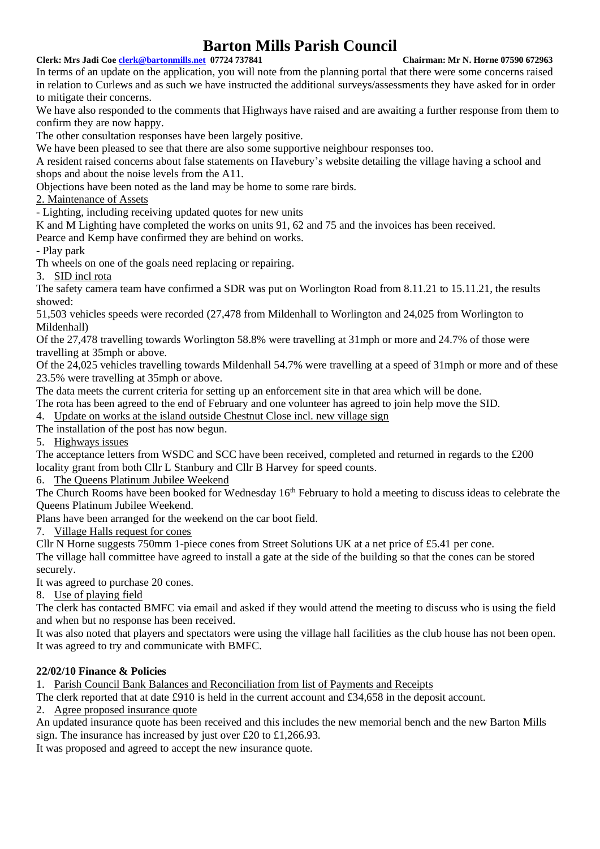#### **Clerk: Mrs Jadi Coe [clerk@bartonmills.net](mailto:clerk@bartonmills.net) 07724 737841 Chairman: Mr N. Horne 07590 672963**

In terms of an update on the application, you will note from the planning portal that there were some concerns raised in relation to Curlews and as such we have instructed the additional surveys/assessments they have asked for in order to mitigate their concerns.

We have also responded to the comments that Highways have raised and are awaiting a further response from them to confirm they are now happy.

The other consultation responses have been largely positive.

We have been pleased to see that there are also some supportive neighbour responses too.

A resident raised concerns about false statements on Havebury's website detailing the village having a school and shops and about the noise levels from the A11.

Objections have been noted as the land may be home to some rare birds.

2. Maintenance of Assets

- Lighting, including receiving updated quotes for new units

K and M Lighting have completed the works on units 91, 62 and 75 and the invoices has been received.

Pearce and Kemp have confirmed they are behind on works.

- Play park

Th wheels on one of the goals need replacing or repairing.

3. SID incl rota

The safety camera team have confirmed a SDR was put on Worlington Road from 8.11.21 to 15.11.21, the results showed:

51,503 vehicles speeds were recorded (27,478 from Mildenhall to Worlington and 24,025 from Worlington to Mildenhall)

Of the 27,478 travelling towards Worlington 58.8% were travelling at 31mph or more and 24.7% of those were travelling at 35mph or above.

Of the 24,025 vehicles travelling towards Mildenhall 54.7% were travelling at a speed of 31mph or more and of these 23.5% were travelling at 35mph or above.

The data meets the current criteria for setting up an enforcement site in that area which will be done.

The rota has been agreed to the end of February and one volunteer has agreed to join help move the SID.

4. Update on works at the island outside Chestnut Close incl. new village sign

The installation of the post has now begun.

5. Highways issues

The acceptance letters from WSDC and SCC have been received, completed and returned in regards to the £200 locality grant from both Cllr L Stanbury and Cllr B Harvey for speed counts.

6. The Queens Platinum Jubilee Weekend

The Church Rooms have been booked for Wednesday  $16<sup>th</sup>$  February to hold a meeting to discuss ideas to celebrate the Queens Platinum Jubilee Weekend.

Plans have been arranged for the weekend on the car boot field.

7. Village Halls request for cones

Cllr N Horne suggests 750mm 1-piece cones from Street Solutions UK at a net price of £5.41 per cone.

The village hall committee have agreed to install a gate at the side of the building so that the cones can be stored securely.

It was agreed to purchase 20 cones.

8. Use of playing field

The clerk has contacted BMFC via email and asked if they would attend the meeting to discuss who is using the field and when but no response has been received.

It was also noted that players and spectators were using the village hall facilities as the club house has not been open. It was agreed to try and communicate with BMFC.

# **22/02/10 Finance & Policies**

1. Parish Council Bank Balances and Reconciliation from list of Payments and Receipts

The clerk reported that at date £910 is held in the current account and £34,658 in the deposit account.

2. Agree proposed insurance quote

An updated insurance quote has been received and this includes the new memorial bench and the new Barton Mills sign. The insurance has increased by just over £20 to £1,266.93.

It was proposed and agreed to accept the new insurance quote.